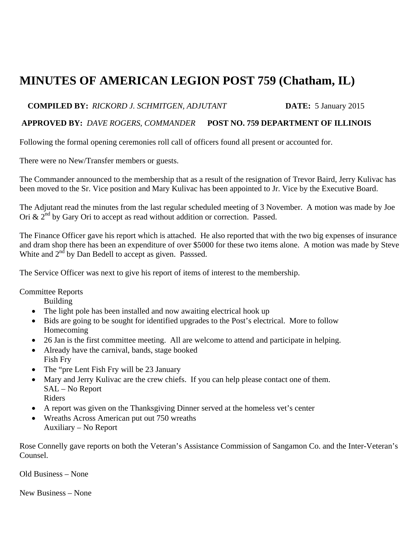## **MINUTES OF AMERICAN LEGION POST 759 (Chatham, IL)**

## **COMPILED BY:** *RICKORD J. SCHMITGEN, ADJUTANT* **DATE:** 5 January 2015

## **APPROVED BY:** *DAVE ROGERS, COMMANDER* **POST NO. 759 DEPARTMENT OF ILLINOIS**

Following the formal opening ceremonies roll call of officers found all present or accounted for.

There were no New/Transfer members or guests.

The Commander announced to the membership that as a result of the resignation of Trevor Baird, Jerry Kulivac has been moved to the Sr. Vice position and Mary Kulivac has been appointed to Jr. Vice by the Executive Board.

The Adjutant read the minutes from the last regular scheduled meeting of 3 November. A motion was made by Joe Ori &  $2^{nd}$  by Gary Ori to accept as read without addition or correction. Passed.

The Finance Officer gave his report which is attached. He also reported that with the two big expenses of insurance and dram shop there has been an expenditure of over \$5000 for these two items alone. A motion was made by Steve White and  $2<sup>nd</sup>$  by Dan Bedell to accept as given. Passsed.

The Service Officer was next to give his report of items of interest to the membership.

Committee Reports

Building

- The light pole has been installed and now awaiting electrical hook up
- Bids are going to be sought for identified upgrades to the Post's electrical. More to follow Homecoming
- 26 Jan is the first committee meeting. All are welcome to attend and participate in helping.
- Already have the carnival, bands, stage booked Fish Fry
- The "pre Lent Fish Fry will be 23 January
- Mary and Jerry Kulivac are the crew chiefs. If you can help please contact one of them. SAL – No Report Riders
- A report was given on the Thanksgiving Dinner served at the homeless vet's center
- Wreaths Across American put out 750 wreaths Auxiliary – No Report

Rose Connelly gave reports on both the Veteran's Assistance Commission of Sangamon Co. and the Inter-Veteran's Counsel.

Old Business – None

New Business – None